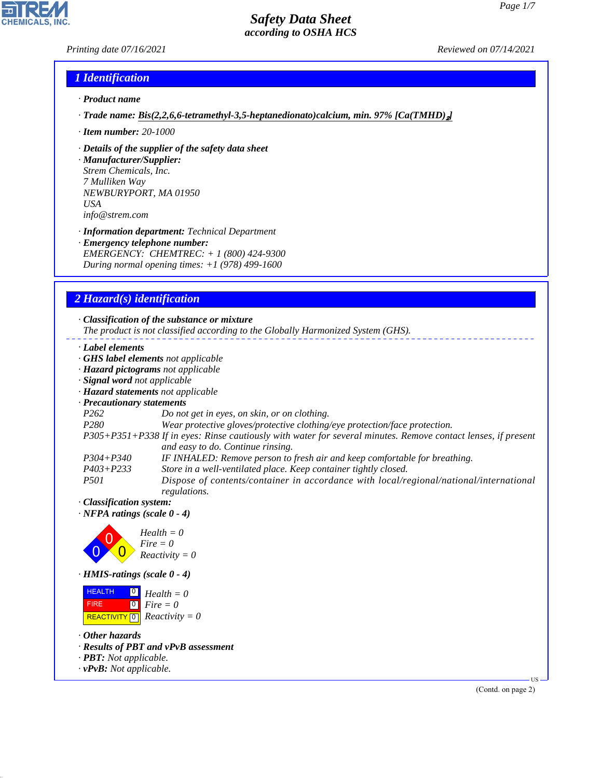### *Printing date 07/16/2021 Reviewed on 07/14/2021*

### *1 Identification*

- *· Product name*
- *· Trade name: Bis(2,2,6,6-tetramethyl-3,5-heptanedionato)calcium, min. 97% [Ca(TMHD)*₂*]*
- *· Item number: 20-1000*
- *· Details of the supplier of the safety data sheet*

*· Manufacturer/Supplier: Strem Chemicals, Inc. 7 Mulliken Way NEWBURYPORT, MA 01950 USA info@strem.com*

*· Information department: Technical Department · Emergency telephone number: EMERGENCY: CHEMTREC: + 1 (800) 424-9300 During normal opening times: +1 (978) 499-1600*

## *2 Hazard(s) identification*

*· Classification of the substance or mixture The product is not classified according to the Globally Harmonized System (GHS). · Label elements · GHS label elements not applicable · Hazard pictograms not applicable · Signal word not applicable · Hazard statements not applicable · Precautionary statements P262 Do not get in eyes, on skin, or on clothing. P280 Wear protective gloves/protective clothing/eye protection/face protection. P305+P351+P338 If in eyes: Rinse cautiously with water for several minutes. Remove contact lenses, if present and easy to do. Continue rinsing. P304+P340 IF INHALED: Remove person to fresh air and keep comfortable for breathing. P403+P233 Store in a well-ventilated place. Keep container tightly closed. P501 Dispose of contents/container in accordance with local/regional/national/international regulations. · Classification system: · NFPA ratings (scale 0 - 4)* 0 0  $\overline{\mathbf{0}}$ *Health = 0 Fire = 0 Reactivity = 0 · HMIS-ratings (scale 0 - 4)* **HEALTH**  $\boxed{0}$ *Health = 0*

 $\boxed{\text{REACTIVITY} \boxed{0}}$  Reactivity = 0  $\boxed{0}$ *Fire = 0*

*· Other hazards*

FIRE

44.1.1

- *· Results of PBT and vPvB assessment*
- *· PBT: Not applicable.*
- *· vPvB: Not applicable.*

(Contd. on page 2)

US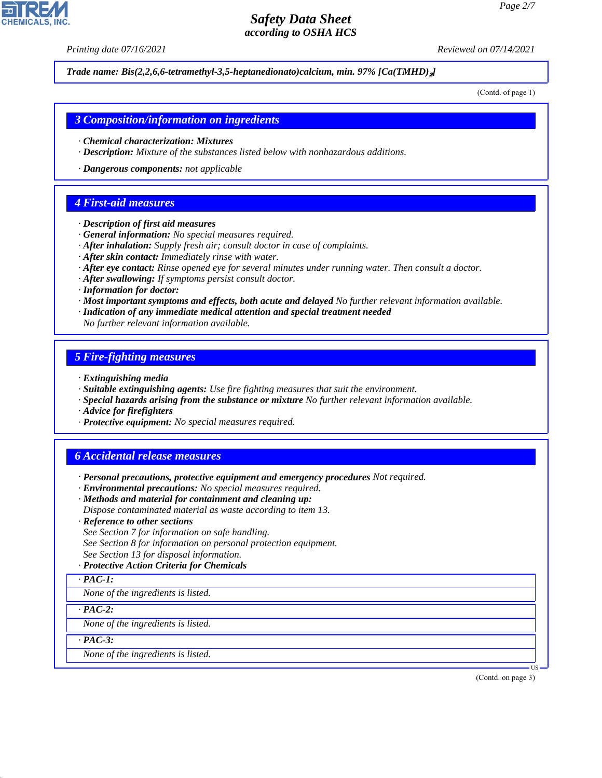*Printing date 07/16/2021 Reviewed on 07/14/2021*

*Trade name: Bis(2,2,6,6-tetramethyl-3,5-heptanedionato)calcium, min. 97% [Ca(TMHD)*₂*]*

(Contd. of page 1)

### *3 Composition/information on ingredients*

- *· Chemical characterization: Mixtures*
- *· Description: Mixture of the substances listed below with nonhazardous additions.*
- *· Dangerous components: not applicable*

## *4 First-aid measures*

- *· Description of first aid measures*
- *· General information: No special measures required.*
- *· After inhalation: Supply fresh air; consult doctor in case of complaints.*
- *· After skin contact: Immediately rinse with water.*
- *· After eye contact: Rinse opened eye for several minutes under running water. Then consult a doctor.*
- *· After swallowing: If symptoms persist consult doctor.*
- *· Information for doctor:*
- *· Most important symptoms and effects, both acute and delayed No further relevant information available.*
- *· Indication of any immediate medical attention and special treatment needed*
- *No further relevant information available.*

## *5 Fire-fighting measures*

- *· Extinguishing media*
- *· Suitable extinguishing agents: Use fire fighting measures that suit the environment.*
- *· Special hazards arising from the substance or mixture No further relevant information available.*
- *· Advice for firefighters*
- *· Protective equipment: No special measures required.*

## *6 Accidental release measures*

- *· Personal precautions, protective equipment and emergency procedures Not required.*
- *· Environmental precautions: No special measures required.*
- *· Methods and material for containment and cleaning up:*
- *Dispose contaminated material as waste according to item 13.*
- *· Reference to other sections*
- *See Section 7 for information on safe handling.*
- *See Section 8 for information on personal protection equipment.*
- *See Section 13 for disposal information.*

### *· Protective Action Criteria for Chemicals*

*· PAC-1:*

*None of the ingredients is listed.*

*· PAC-2:*

*None of the ingredients is listed.*

*· PAC-3:*

44.1.1

*None of the ingredients is listed.*

(Contd. on page 3)

US

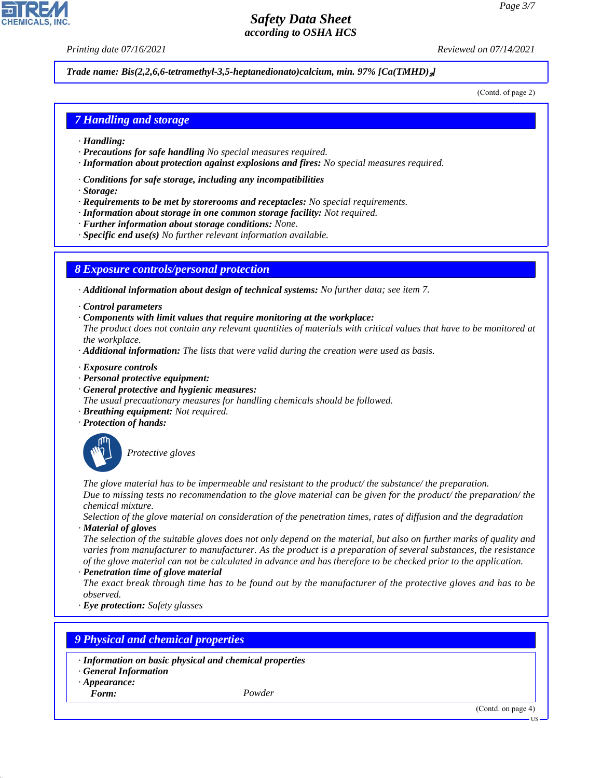*Printing date 07/16/2021 Reviewed on 07/14/2021*

#### *Trade name: Bis(2,2,6,6-tetramethyl-3,5-heptanedionato)calcium, min. 97% [Ca(TMHD)*₂*]*

(Contd. of page 2)

### *7 Handling and storage*

- *· Handling:*
- *· Precautions for safe handling No special measures required.*
- *· Information about protection against explosions and fires: No special measures required.*
- *· Conditions for safe storage, including any incompatibilities*
- *· Storage:*
- *· Requirements to be met by storerooms and receptacles: No special requirements.*
- *· Information about storage in one common storage facility: Not required.*
- *· Further information about storage conditions: None.*
- *· Specific end use(s) No further relevant information available.*

### *8 Exposure controls/personal protection*

*· Additional information about design of technical systems: No further data; see item 7.*

- *· Control parameters*
- *· Components with limit values that require monitoring at the workplace:*
- *The product does not contain any relevant quantities of materials with critical values that have to be monitored at the workplace.*
- *· Additional information: The lists that were valid during the creation were used as basis.*
- *· Exposure controls*
- *· Personal protective equipment:*
- *· General protective and hygienic measures:*
- *The usual precautionary measures for handling chemicals should be followed.*
- *· Breathing equipment: Not required.*
- *· Protection of hands:*



\_S*Protective gloves*

*The glove material has to be impermeable and resistant to the product/ the substance/ the preparation. Due to missing tests no recommendation to the glove material can be given for the product/ the preparation/ the chemical mixture.*

*Selection of the glove material on consideration of the penetration times, rates of diffusion and the degradation · Material of gloves*

*The selection of the suitable gloves does not only depend on the material, but also on further marks of quality and varies from manufacturer to manufacturer. As the product is a preparation of several substances, the resistance of the glove material can not be calculated in advance and has therefore to be checked prior to the application.*

*· Penetration time of glove material*

*The exact break through time has to be found out by the manufacturer of the protective gloves and has to be observed.*

*· Eye protection: Safety glasses*

### *9 Physical and chemical properties*

- *· Information on basic physical and chemical properties*
- *· General Information*
- *· Appearance:*
- *Form: Powder*

44.1.1

(Contd. on page 4)

US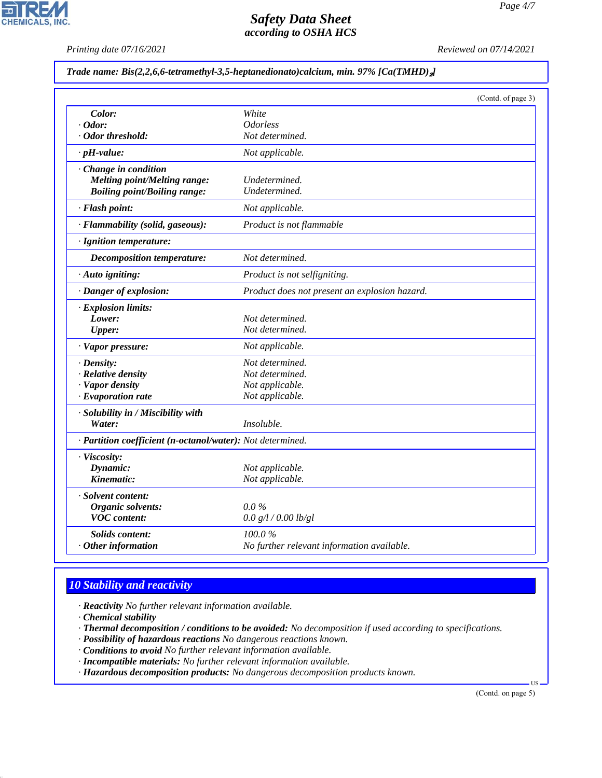**CHEMICALS, INC.** 

*Printing date 07/16/2021 Reviewed on 07/14/2021*

#### *Trade name: Bis(2,2,6,6-tetramethyl-3,5-heptanedionato)calcium, min. 97% [Ca(TMHD)*₂*]*

|                                                            |                                               | (Contd. of page 3) |
|------------------------------------------------------------|-----------------------------------------------|--------------------|
| Color:                                                     | White                                         |                    |
| $\cdot$ Odor:                                              | <b>Odorless</b>                               |                    |
| · Odor threshold:                                          | Not determined.                               |                    |
| $\cdot$ pH-value:                                          | Not applicable.                               |                    |
| Change in condition                                        |                                               |                    |
| Melting point/Melting range:                               | Undetermined.                                 |                    |
| <b>Boiling point/Boiling range:</b>                        | Undetermined.                                 |                    |
| · Flash point:                                             | Not applicable.                               |                    |
| · Flammability (solid, gaseous):                           | Product is not flammable                      |                    |
| · Ignition temperature:                                    |                                               |                    |
| <b>Decomposition temperature:</b>                          | Not determined.                               |                    |
| · Auto igniting:                                           | Product is not selfigniting.                  |                    |
| · Danger of explosion:                                     | Product does not present an explosion hazard. |                    |
| · Explosion limits:                                        |                                               |                    |
| Lower:                                                     | Not determined.                               |                    |
| <b>Upper:</b>                                              | Not determined.                               |                    |
| · Vapor pressure:                                          | Not applicable.                               |                    |
| $\cdot$ Density:                                           | Not determined.                               |                    |
| · Relative density                                         | Not determined.                               |                    |
| · Vapor density                                            | Not applicable.                               |                    |
| · Evaporation rate                                         | Not applicable.                               |                    |
| · Solubility in / Miscibility with                         |                                               |                    |
| Water:                                                     | Insoluble.                                    |                    |
| · Partition coefficient (n-octanol/water): Not determined. |                                               |                    |
| · Viscosity:                                               |                                               |                    |
| Dynamic:                                                   | Not applicable.                               |                    |
| Kinematic:                                                 | Not applicable.                               |                    |
| · Solvent content:                                         |                                               |                    |
| Organic solvents:                                          | $0.0\%$                                       |                    |
| <b>VOC</b> content:                                        | 0.0 g/l / 0.00 lb/gl                          |                    |
| Solids content:                                            | 100.0%                                        |                    |
| $·$ Other information                                      | No further relevant information available.    |                    |

## *10 Stability and reactivity*

*· Reactivity No further relevant information available.*

*· Chemical stability*

44.1.1

*· Thermal decomposition / conditions to be avoided: No decomposition if used according to specifications.*

*· Possibility of hazardous reactions No dangerous reactions known.*

*· Conditions to avoid No further relevant information available.*

- *· Incompatible materials: No further relevant information available.*
- *· Hazardous decomposition products: No dangerous decomposition products known.*

(Contd. on page 5)

US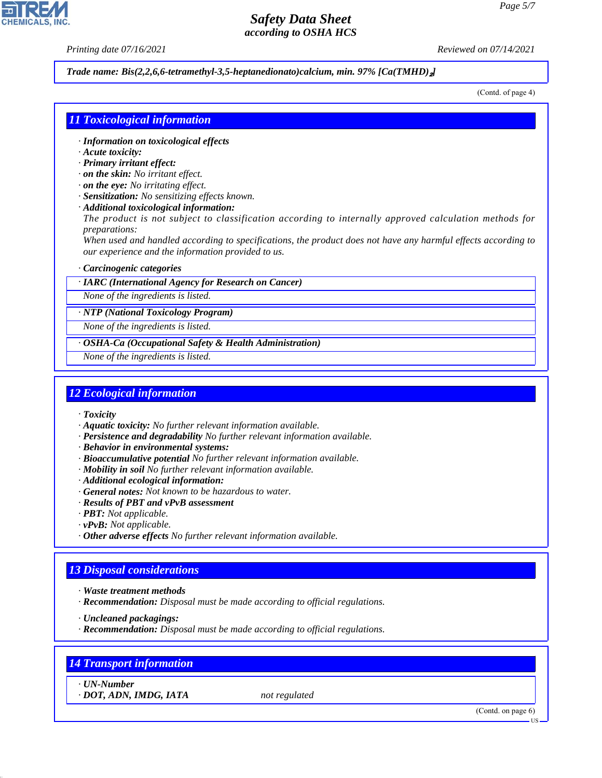*Printing date 07/16/2021 Reviewed on 07/14/2021*

#### *Trade name: Bis(2,2,6,6-tetramethyl-3,5-heptanedionato)calcium, min. 97% [Ca(TMHD)*₂*]*

(Contd. of page 4)

### *11 Toxicological information*

- *· Information on toxicological effects*
- *· Acute toxicity:*
- *· Primary irritant effect:*
- *· on the skin: No irritant effect.*
- *· on the eye: No irritating effect.*
- *· Sensitization: No sensitizing effects known.*
- *· Additional toxicological information:*

*The product is not subject to classification according to internally approved calculation methods for preparations:*

*When used and handled according to specifications, the product does not have any harmful effects according to our experience and the information provided to us.*

#### *· Carcinogenic categories*

*· IARC (International Agency for Research on Cancer)*

*None of the ingredients is listed.*

*· NTP (National Toxicology Program)*

*None of the ingredients is listed.*

*· OSHA-Ca (Occupational Safety & Health Administration)*

*None of the ingredients is listed.*

#### *12 Ecological information*

- *· Toxicity*
- *· Aquatic toxicity: No further relevant information available.*
- *· Persistence and degradability No further relevant information available.*
- *· Behavior in environmental systems:*
- *· Bioaccumulative potential No further relevant information available.*
- *· Mobility in soil No further relevant information available.*
- *· Additional ecological information:*
- *· General notes: Not known to be hazardous to water.*
- *· Results of PBT and vPvB assessment*
- *· PBT: Not applicable.*
- *· vPvB: Not applicable.*
- *· Other adverse effects No further relevant information available.*

### *13 Disposal considerations*

- *· Waste treatment methods*
- *· Recommendation: Disposal must be made according to official regulations.*

*· Uncleaned packagings:*

*· Recommendation: Disposal must be made according to official regulations.*

### *14 Transport information*

*· UN-Number*

44.1.1

*· DOT, ADN, IMDG, IATA not regulated*

(Contd. on page 6)

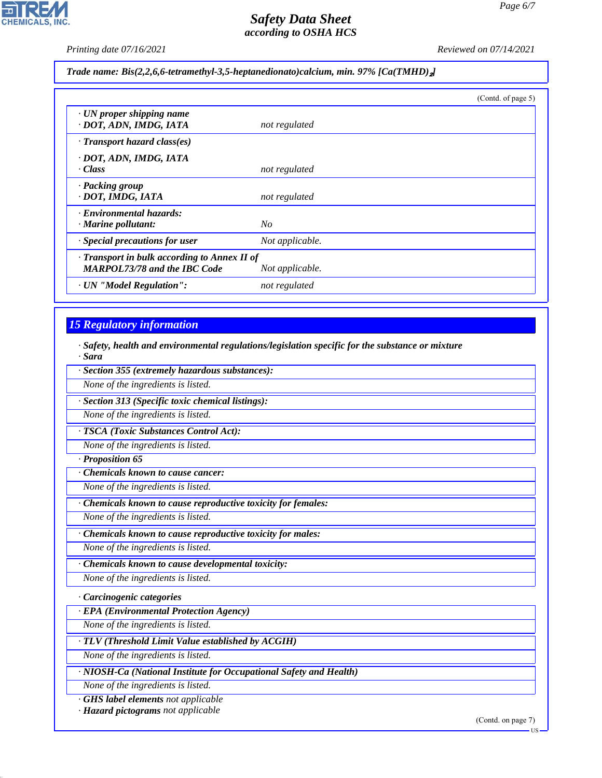$\overline{\phantom{a}}$ 

CHEMICALS, INC.

*Printing date 07/16/2021 Reviewed on 07/14/2021*

*Trade name: Bis(2,2,6,6-tetramethyl-3,5-heptanedionato)calcium, min. 97% [Ca(TMHD)*₂*]*

|                                                                                     |                 | (Contd. of page 5) |
|-------------------------------------------------------------------------------------|-----------------|--------------------|
| $\cdot$ UN proper shipping name<br>· DOT, ADN, IMDG, IATA                           | not regulated   |                    |
| $\cdot$ Transport hazard class(es)                                                  |                 |                    |
| · DOT, ADN, IMDG, IATA<br>· Class                                                   | not regulated   |                    |
| · Packing group<br>· DOT, IMDG, IATA                                                | not regulated   |                    |
| · Environmental hazards:<br>$\cdot$ Marine pollutant:                               | No              |                    |
| $\cdot$ Special precautions for user                                                | Not applicable. |                    |
| · Transport in bulk according to Annex II of<br><b>MARPOL73/78 and the IBC Code</b> | Not applicable. |                    |
| · UN "Model Regulation":                                                            | not regulated   |                    |

# *15 Regulatory information*

44.1.1

*· Safety, health and environmental regulations/legislation specific for the substance or mixture · Sara*

| · Section 355 (extremely hazardous substances):                  |  |  |
|------------------------------------------------------------------|--|--|
| None of the ingredients is listed.                               |  |  |
| · Section 313 (Specific toxic chemical listings):                |  |  |
| None of the ingredients is listed.                               |  |  |
| TSCA (Toxic Substances Control Act):                             |  |  |
| None of the ingredients is listed.                               |  |  |
| · Proposition 65                                                 |  |  |
| <b>Chemicals known to cause cancer:</b>                          |  |  |
| None of the ingredients is listed.                               |  |  |
| Chemicals known to cause reproductive toxicity for females:      |  |  |
| None of the ingredients is listed.                               |  |  |
| · Chemicals known to cause reproductive toxicity for males:      |  |  |
| None of the ingredients is listed.                               |  |  |
| Chemicals known to cause developmental toxicity:                 |  |  |
| None of the ingredients is listed.                               |  |  |
| · Carcinogenic categories                                        |  |  |
| · EPA (Environmental Protection Agency)                          |  |  |
| None of the ingredients is listed.                               |  |  |
| · TLV (Threshold Limit Value established by ACGIH)               |  |  |
| None of the ingredients is listed.                               |  |  |
| NIOSH-Ca (National Institute for Occupational Safety and Health) |  |  |
| None of the ingredients is listed.                               |  |  |
| <b>GHS</b> label elements not applicable                         |  |  |
| · Hazard pictograms not applicable                               |  |  |

(Contd. on page 7)